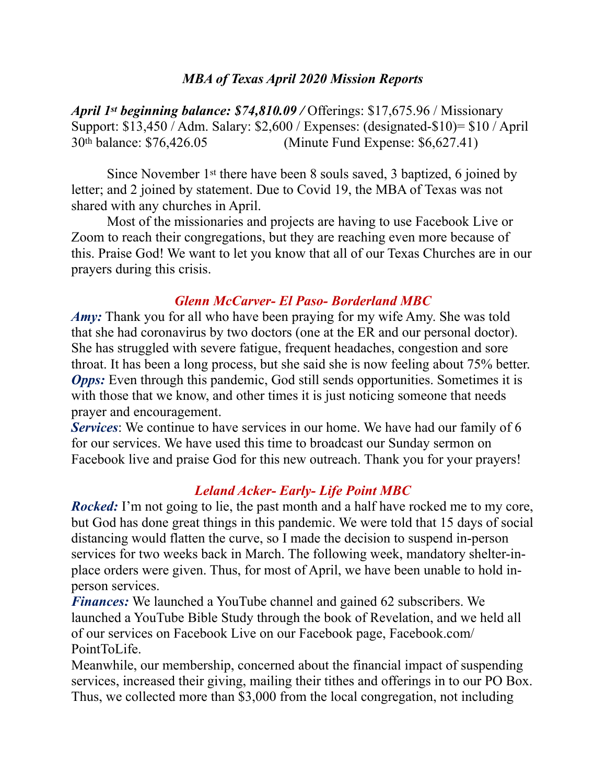### *MBA of Texas April 2020 Mission Reports*

*April 1st beginning balance: \$74,810.09 /* Offerings: \$17,675.96 / Missionary Support: \$13,450 / Adm. Salary: \$2,600 / Expenses: (designated-\$10)= \$10 / April 30th balance: \$76,426.05 (Minute Fund Expense: \$6,627.41)

 Since November 1st there have been 8 souls saved, 3 baptized, 6 joined by letter; and 2 joined by statement. Due to Covid 19, the MBA of Texas was not shared with any churches in April.

 Most of the missionaries and projects are having to use Facebook Live or Zoom to reach their congregations, but they are reaching even more because of this. Praise God! We want to let you know that all of our Texas Churches are in our prayers during this crisis.

### *Glenn McCarver- El Paso- Borderland MBC*

*Amy:* Thank you for all who have been praying for my wife Amy. She was told that she had coronavirus by two doctors (one at the ER and our personal doctor). She has struggled with severe fatigue, frequent headaches, congestion and sore throat. It has been a long process, but she said she is now feeling about 75% better. *Opps:* Even through this pandemic, God still sends opportunities. Sometimes it is with those that we know, and other times it is just noticing someone that needs prayer and encouragement.

*Services*: We continue to have services in our home. We have had our family of 6 for our services. We have used this time to broadcast our Sunday sermon on Facebook live and praise God for this new outreach. Thank you for your prayers!

### *Leland Acker- Early- Life Point MBC*

*Rocked:* I'm not going to lie, the past month and a half have rocked me to my core, but God has done great things in this pandemic. We were told that 15 days of social distancing would flatten the curve, so I made the decision to suspend in-person services for two weeks back in March. The following week, mandatory shelter-inplace orders were given. Thus, for most of April, we have been unable to hold inperson services.

*Finances:* We launched a YouTube channel and gained 62 subscribers. We launched a YouTube Bible Study through the book of Revelation, and we held all of our services on Facebook Live on our Facebook page, Facebook.com/ PointToLife.

Meanwhile, our membership, concerned about the financial impact of suspending services, increased their giving, mailing their tithes and offerings in to our PO Box. Thus, we collected more than \$3,000 from the local congregation, not including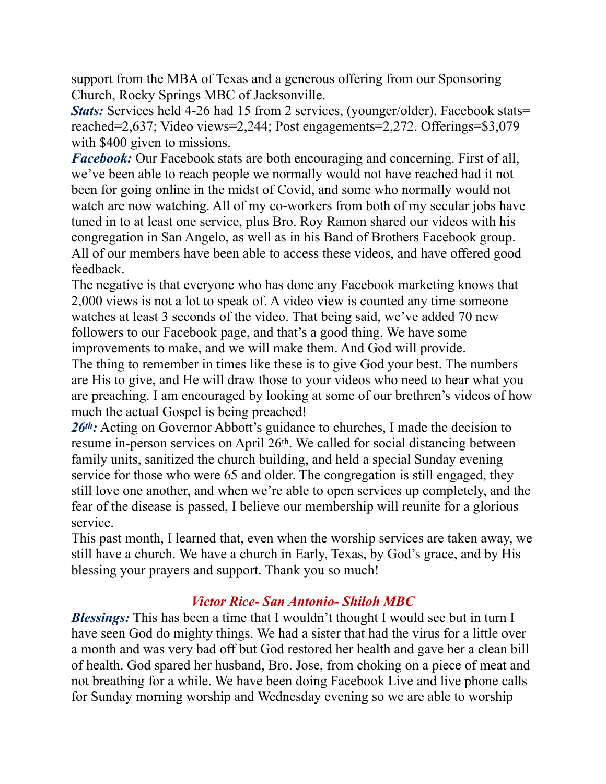support from the MBA of Texas and a generous offering from our Sponsoring Church, Rocky Springs MBC of Jacksonville.

*Stats:* Services held 4-26 had 15 from 2 services, (younger/older). Facebook stats= reached=2,637; Video views=2,244; Post engagements=2,272. Offerings=\$3,079 with \$400 given to missions.

*Facebook:* Our Facebook stats are both encouraging and concerning. First of all, we've been able to reach people we normally would not have reached had it not been for going online in the midst of Covid, and some who normally would not watch are now watching. All of my co-workers from both of my secular jobs have tuned in to at least one service, plus Bro. Roy Ramon shared our videos with his congregation in San Angelo, as well as in his Band of Brothers Facebook group. All of our members have been able to access these videos, and have offered good feedback.

The negative is that everyone who has done any Facebook marketing knows that 2,000 views is not a lot to speak of. A video view is counted any time someone watches at least 3 seconds of the video. That being said, we've added 70 new followers to our Facebook page, and that's a good thing. We have some improvements to make, and we will make them. And God will provide.

The thing to remember in times like these is to give God your best. The numbers are His to give, and He will draw those to your videos who need to hear what you are preaching. I am encouraged by looking at some of our brethren's videos of how much the actual Gospel is being preached!

26<sup>th</sup>: Acting on Governor Abbott's guidance to churches, I made the decision to resume in-person services on April 26th. We called for social distancing between family units, sanitized the church building, and held a special Sunday evening service for those who were 65 and older. The congregation is still engaged, they still love one another, and when we're able to open services up completely, and the fear of the disease is passed, I believe our membership will reunite for a glorious service.

This past month, I learned that, even when the worship services are taken away, we still have a church. We have a church in Early, Texas, by God's grace, and by His blessing your prayers and support. Thank you so much!

# *Victor Rice- San Antonio- Shiloh MBC*

*Blessings:* This has been a time that I wouldn't thought I would see but in turn I have seen God do mighty things. We had a sister that had the virus for a little over a month and was very bad off but God restored her health and gave her a clean bill of health. God spared her husband, Bro. Jose, from choking on a piece of meat and not breathing for a while. We have been doing Facebook Live and live phone calls for Sunday morning worship and Wednesday evening so we are able to worship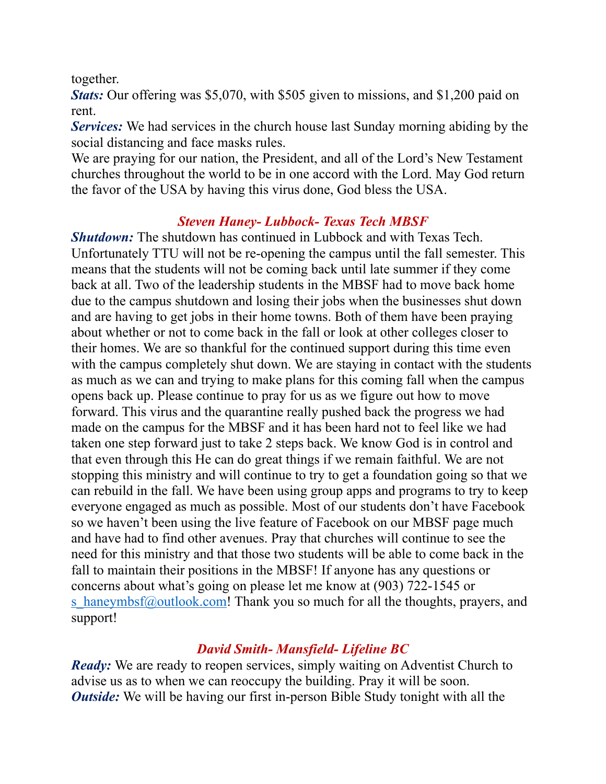together.

*Stats:* Our offering was \$5,070, with \$505 given to missions, and \$1,200 paid on rent.

*Services:* We had services in the church house last Sunday morning abiding by the social distancing and face masks rules.

We are praying for our nation, the President, and all of the Lord's New Testament churches throughout the world to be in one accord with the Lord. May God return the favor of the USA by having this virus done, God bless the USA.

## *Steven Haney- Lubbock- Texas Tech MBSF*

*Shutdown:* The shutdown has continued in Lubbock and with Texas Tech. Unfortunately TTU will not be re-opening the campus until the fall semester. This means that the students will not be coming back until late summer if they come back at all. Two of the leadership students in the MBSF had to move back home due to the campus shutdown and losing their jobs when the businesses shut down and are having to get jobs in their home towns. Both of them have been praying about whether or not to come back in the fall or look at other colleges closer to their homes. We are so thankful for the continued support during this time even with the campus completely shut down. We are staying in contact with the students as much as we can and trying to make plans for this coming fall when the campus opens back up. Please continue to pray for us as we figure out how to move forward. This virus and the quarantine really pushed back the progress we had made on the campus for the MBSF and it has been hard not to feel like we had taken one step forward just to take 2 steps back. We know God is in control and that even through this He can do great things if we remain faithful. We are not stopping this ministry and will continue to try to get a foundation going so that we can rebuild in the fall. We have been using group apps and programs to try to keep everyone engaged as much as possible. Most of our students don't have Facebook so we haven't been using the live feature of Facebook on our MBSF page much and have had to find other avenues. Pray that churches will continue to see the need for this ministry and that those two students will be able to come back in the fall to maintain their positions in the MBSF! If anyone has any questions or concerns about what's going on please let me know at (903) 722-1545 or s haneymbsf@outlook.com! Thank you so much for all the thoughts, prayers, and support!

# *David Smith- Mansfield- Lifeline BC*

*Ready:* We are ready to reopen services, simply waiting on Adventist Church to advise us as to when we can reoccupy the building. Pray it will be soon. *Outside:* We will be having our first in-person Bible Study tonight with all the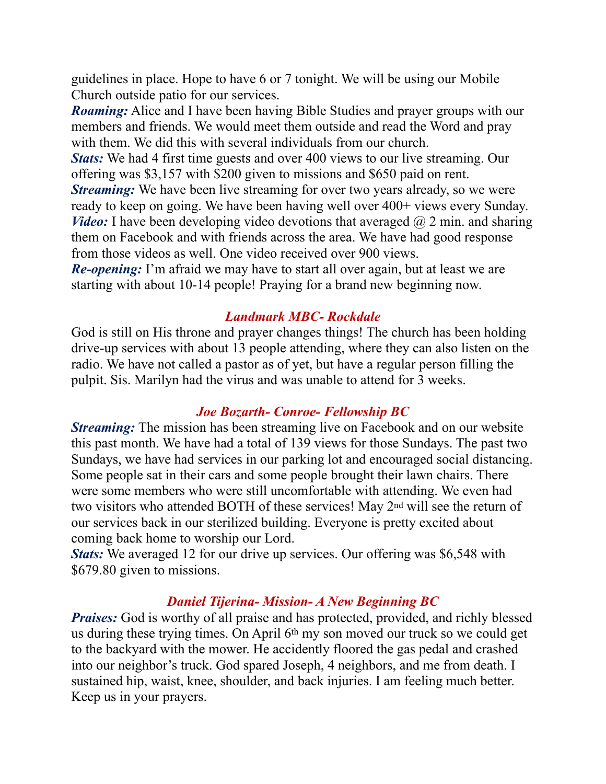guidelines in place. Hope to have 6 or 7 tonight. We will be using our Mobile Church outside patio for our services.

*Roaming:* Alice and I have been having Bible Studies and prayer groups with our members and friends. We would meet them outside and read the Word and pray with them. We did this with several individuals from our church.

*Stats:* We had 4 first time guests and over 400 views to our live streaming. Our offering was \$3,157 with \$200 given to missions and \$650 paid on rent. *Streaming:* We have been live streaming for over two years already, so we were ready to keep on going. We have been having well over 400+ views every Sunday. *Video:* I have been developing video devotions that averaged  $\omega$  2 min. and sharing them on Facebook and with friends across the area. We have had good response from those videos as well. One video received over 900 views.

*Re-opening*: I'm afraid we may have to start all over again, but at least we are starting with about 10-14 people! Praying for a brand new beginning now.

## *Landmark MBC- Rockdale*

God is still on His throne and prayer changes things! The church has been holding drive-up services with about 13 people attending, where they can also listen on the radio. We have not called a pastor as of yet, but have a regular person filling the pulpit. Sis. Marilyn had the virus and was unable to attend for 3 weeks.

# *Joe Bozarth- Conroe- Fellowship BC*

*Streaming:* The mission has been streaming live on Facebook and on our website this past month. We have had a total of 139 views for those Sundays. The past two Sundays, we have had services in our parking lot and encouraged social distancing. Some people sat in their cars and some people brought their lawn chairs. There were some members who were still uncomfortable with attending. We even had two visitors who attended BOTH of these services! May 2nd will see the return of our services back in our sterilized building. Everyone is pretty excited about coming back home to worship our Lord.

*Stats:* We averaged 12 for our drive up services. Our offering was \$6,548 with \$679.80 given to missions.

### *Daniel Tijerina- Mission- A New Beginning BC*

*Praises:* God is worthy of all praise and has protected, provided, and richly blessed us during these trying times. On April 6th my son moved our truck so we could get to the backyard with the mower. He accidently floored the gas pedal and crashed into our neighbor's truck. God spared Joseph, 4 neighbors, and me from death. I sustained hip, waist, knee, shoulder, and back injuries. I am feeling much better. Keep us in your prayers.